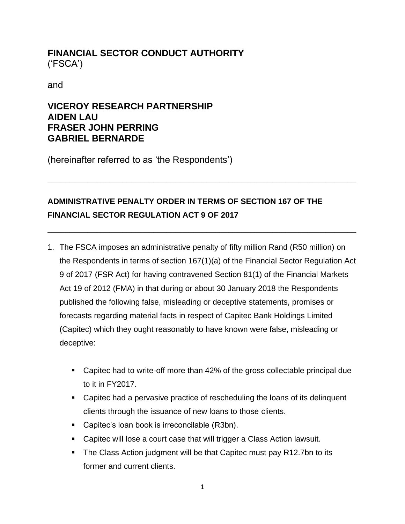## **FINANCIAL SECTOR CONDUCT AUTHORITY** ('FSCA')

and

## **VICEROY RESEARCH PARTNERSHIP AIDEN LAU FRASER JOHN PERRING GABRIEL BERNARDE**

(hereinafter referred to as 'the Respondents')

# **ADMINISTRATIVE PENALTY ORDER IN TERMS OF SECTION 167 OF THE FINANCIAL SECTOR REGULATION ACT 9 OF 2017**

**\_\_\_\_\_\_\_\_\_\_\_\_\_\_\_\_\_\_\_\_\_\_\_\_\_\_\_\_\_\_\_\_\_\_\_\_\_\_\_\_\_\_\_\_\_\_\_\_\_\_\_\_\_\_\_\_\_\_\_\_\_\_\_\_\_\_\_\_\_\_**

**\_\_\_\_\_\_\_\_\_\_\_\_\_\_\_\_\_\_\_\_\_\_\_\_\_\_\_\_\_\_\_\_\_\_\_\_\_\_\_\_\_\_\_\_\_\_\_\_\_\_\_\_\_\_\_\_\_\_\_\_\_\_\_\_\_\_\_\_\_\_**

- 1. The FSCA imposes an administrative penalty of fifty million Rand (R50 million) on the Respondents in terms of section 167(1)(a) of the Financial Sector Regulation Act 9 of 2017 (FSR Act) for having contravened Section 81(1) of the Financial Markets Act 19 of 2012 (FMA) in that during or about 30 January 2018 the Respondents published the following false, misleading or deceptive statements, promises or forecasts regarding material facts in respect of Capitec Bank Holdings Limited (Capitec) which they ought reasonably to have known were false, misleading or deceptive:
	- Capitec had to write-off more than 42% of the gross collectable principal due to it in FY2017.
	- Capitec had a pervasive practice of rescheduling the loans of its delinguent clients through the issuance of new loans to those clients.
	- Capitec's loan book is irreconcilable (R3bn).
	- Capitec will lose a court case that will trigger a Class Action lawsuit.
	- The Class Action judgment will be that Capitec must pay R12.7bn to its former and current clients.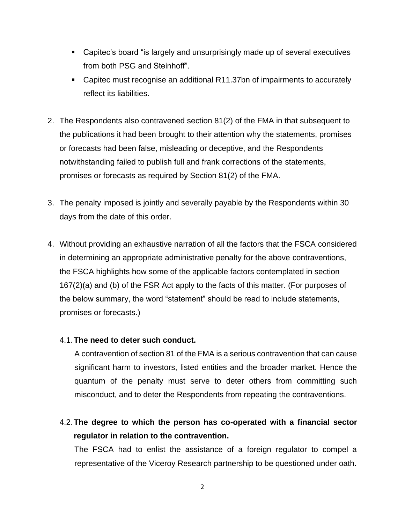- Capitec's board "is largely and unsurprisingly made up of several executives from both PSG and Steinhoff".
- Capitec must recognise an additional R11.37bn of impairments to accurately reflect its liabilities.
- 2. The Respondents also contravened section 81(2) of the FMA in that subsequent to the publications it had been brought to their attention why the statements, promises or forecasts had been false, misleading or deceptive, and the Respondents notwithstanding failed to publish full and frank corrections of the statements, promises or forecasts as required by Section 81(2) of the FMA.
- 3. The penalty imposed is jointly and severally payable by the Respondents within 30 days from the date of this order.
- 4. Without providing an exhaustive narration of all the factors that the FSCA considered in determining an appropriate administrative penalty for the above contraventions, the FSCA highlights how some of the applicable factors contemplated in section 167(2)(a) and (b) of the FSR Act apply to the facts of this matter. (For purposes of the below summary, the word "statement" should be read to include statements, promises or forecasts.)

#### 4.1.**The need to deter such conduct.**

A contravention of section 81 of the FMA is a serious contravention that can cause significant harm to investors, listed entities and the broader market. Hence the quantum of the penalty must serve to deter others from committing such misconduct, and to deter the Respondents from repeating the contraventions.

4.2.**The degree to which the person has co-operated with a financial sector regulator in relation to the contravention.**

The FSCA had to enlist the assistance of a foreign regulator to compel a representative of the Viceroy Research partnership to be questioned under oath.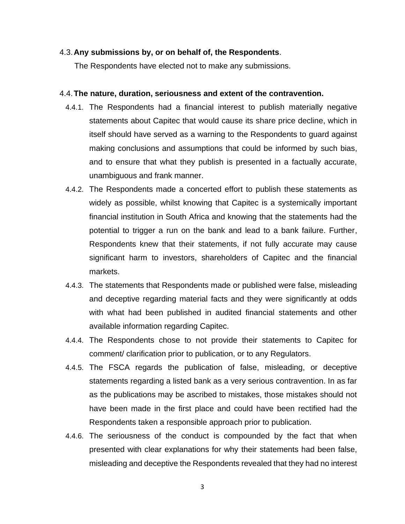#### 4.3.**Any submissions by, or on behalf of, the Respondents**.

The Respondents have elected not to make any submissions.

#### 4.4.**The nature, duration, seriousness and extent of the contravention.**

- 4.4.1. The Respondents had a financial interest to publish materially negative statements about Capitec that would cause its share price decline, which in itself should have served as a warning to the Respondents to guard against making conclusions and assumptions that could be informed by such bias, and to ensure that what they publish is presented in a factually accurate, unambiguous and frank manner.
- 4.4.2. The Respondents made a concerted effort to publish these statements as widely as possible, whilst knowing that Capitec is a systemically important financial institution in South Africa and knowing that the statements had the potential to trigger a run on the bank and lead to a bank failure. Further, Respondents knew that their statements, if not fully accurate may cause significant harm to investors, shareholders of Capitec and the financial markets.
- 4.4.3. The statements that Respondents made or published were false, misleading and deceptive regarding material facts and they were significantly at odds with what had been published in audited financial statements and other available information regarding Capitec.
- 4.4.4. The Respondents chose to not provide their statements to Capitec for comment/ clarification prior to publication, or to any Regulators.
- 4.4.5. The FSCA regards the publication of false, misleading, or deceptive statements regarding a listed bank as a very serious contravention. In as far as the publications may be ascribed to mistakes, those mistakes should not have been made in the first place and could have been rectified had the Respondents taken a responsible approach prior to publication.
- 4.4.6. The seriousness of the conduct is compounded by the fact that when presented with clear explanations for why their statements had been false, misleading and deceptive the Respondents revealed that they had no interest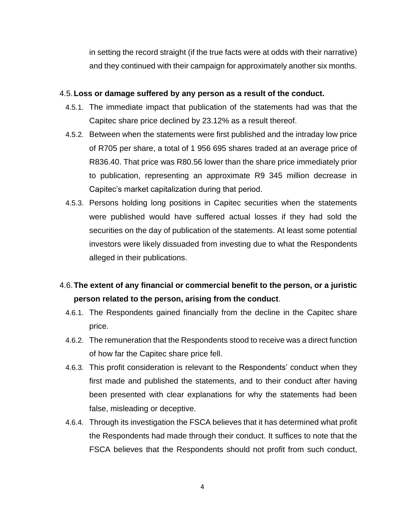in setting the record straight (if the true facts were at odds with their narrative) and they continued with their campaign for approximately another six months.

#### 4.5.**Loss or damage suffered by any person as a result of the conduct.**

- 4.5.1. The immediate impact that publication of the statements had was that the Capitec share price declined by 23.12% as a result thereof.
- 4.5.2. Between when the statements were first published and the intraday low price of R705 per share, a total of 1 956 695 shares traded at an average price of R836.40. That price was R80.56 lower than the share price immediately prior to publication, representing an approximate R9 345 million decrease in Capitec's market capitalization during that period.
- 4.5.3. Persons holding long positions in Capitec securities when the statements were published would have suffered actual losses if they had sold the securities on the day of publication of the statements. At least some potential investors were likely dissuaded from investing due to what the Respondents alleged in their publications.

# 4.6.**The extent of any financial or commercial benefit to the person, or a juristic person related to the person, arising from the conduct**.

- 4.6.1. The Respondents gained financially from the decline in the Capitec share price.
- 4.6.2. The remuneration that the Respondents stood to receive was a direct function of how far the Capitec share price fell.
- 4.6.3. This profit consideration is relevant to the Respondents' conduct when they first made and published the statements, and to their conduct after having been presented with clear explanations for why the statements had been false, misleading or deceptive.
- 4.6.4. Through its investigation the FSCA believes that it has determined what profit the Respondents had made through their conduct. It suffices to note that the FSCA believes that the Respondents should not profit from such conduct,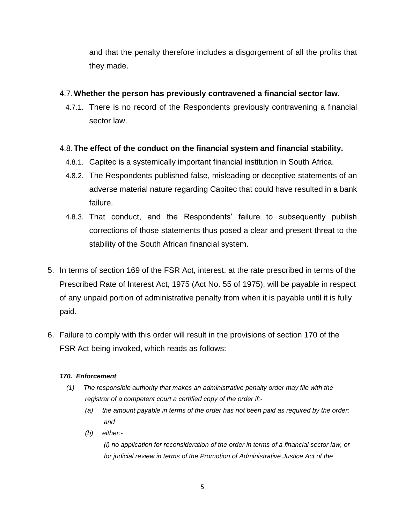and that the penalty therefore includes a disgorgement of all the profits that they made.

### 4.7.**Whether the person has previously contravened a financial sector law.**

4.7.1. There is no record of the Respondents previously contravening a financial sector law.

## 4.8.**The effect of the conduct on the financial system and financial stability.**

- 4.8.1. Capitec is a systemically important financial institution in South Africa.
- 4.8.2. The Respondents published false, misleading or deceptive statements of an adverse material nature regarding Capitec that could have resulted in a bank failure.
- 4.8.3. That conduct, and the Respondents' failure to subsequently publish corrections of those statements thus posed a clear and present threat to the stability of the South African financial system.
- 5. In terms of section 169 of the FSR Act, interest, at the rate prescribed in terms of the Prescribed Rate of Interest Act, 1975 (Act No. 55 of 1975), will be payable in respect of any unpaid portion of administrative penalty from when it is payable until it is fully paid.
- 6. Failure to comply with this order will result in the provisions of section 170 of the FSR Act being invoked, which reads as follows:

#### *170. Enforcement*

- *(1) The responsible authority that makes an administrative penalty order may file with the registrar of a competent court a certified copy of the order if:-*
	- *(a) the amount payable in terms of the order has not been paid as required by the order; and*
	- *(b) either:-*

*(i) no application for reconsideration of the order in terms of a financial sector law, or for judicial review in terms of the Promotion of Administrative Justice Act of the*